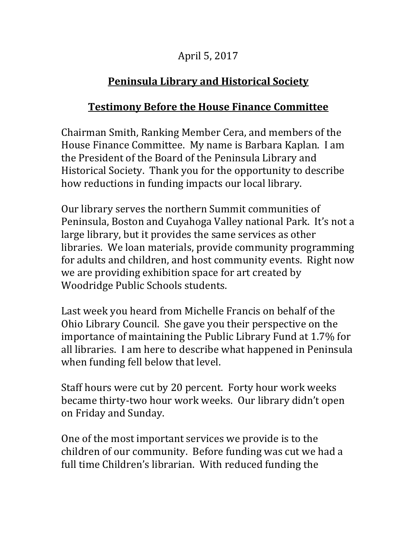## April 5, 2017

## **Peninsula Library and Historical Society**

## **Testimony Before the House Finance Committee**

Chairman Smith, Ranking Member Cera, and members of the House Finance Committee. My name is Barbara Kaplan. I am the President of the Board of the Peninsula Library and Historical Society. Thank you for the opportunity to describe how reductions in funding impacts our local library.

Our library serves the northern Summit communities of Peninsula, Boston and Cuyahoga Valley national Park. It's not a large library, but it provides the same services as other libraries. We loan materials, provide community programming for adults and children, and host community events. Right now we are providing exhibition space for art created by Woodridge Public Schools students.

Last week you heard from Michelle Francis on behalf of the Ohio Library Council. She gave you their perspective on the importance of maintaining the Public Library Fund at 1.7% for all libraries. I am here to describe what happened in Peninsula when funding fell below that level.

Staff hours were cut by 20 percent. Forty hour work weeks became thirty-two hour work weeks. Our library didn't open on Friday and Sunday.

One of the most important services we provide is to the children of our community. Before funding was cut we had a full time Children's librarian. With reduced funding the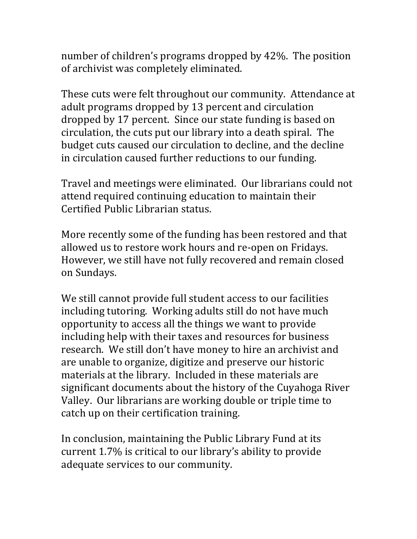number of children's programs dropped by 42%. The position of archivist was completely eliminated.

These cuts were felt throughout our community. Attendance at adult programs dropped by 13 percent and circulation dropped by 17 percent. Since our state funding is based on circulation, the cuts put our library into a death spiral. The budget cuts caused our circulation to decline, and the decline in circulation caused further reductions to our funding.

Travel and meetings were eliminated. Our librarians could not attend required continuing education to maintain their Certified Public Librarian status.

More recently some of the funding has been restored and that allowed us to restore work hours and re-open on Fridays. However, we still have not fully recovered and remain closed on Sundays.

We still cannot provide full student access to our facilities including tutoring. Working adults still do not have much opportunity to access all the things we want to provide including help with their taxes and resources for business research. We still don't have money to hire an archivist and are unable to organize, digitize and preserve our historic materials at the library. Included in these materials are significant documents about the history of the Cuyahoga River Valley. Our librarians are working double or triple time to catch up on their certification training.

In conclusion, maintaining the Public Library Fund at its current 1.7% is critical to our library's ability to provide adequate services to our community.